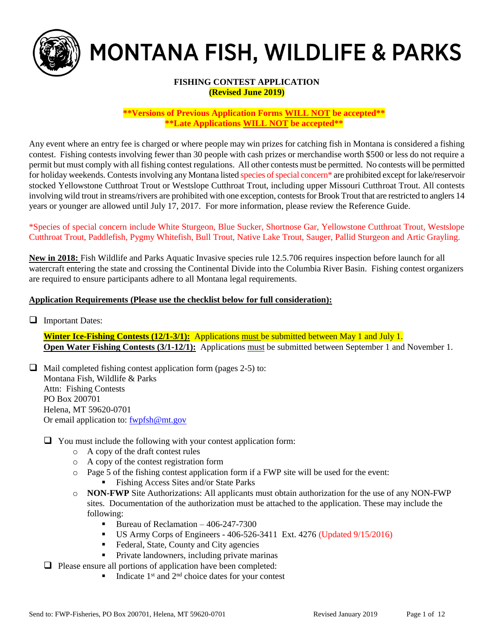

# MONTANA FISH, WILDLIFE & PARKS

# **FISHING CONTEST APPLICATION (Revised June 2019)**

**\*\*Versions of Previous Application Forms WILL NOT be accepted\*\* \*\*Late Applications WILL NOT be accepted\*\***

Any event where an entry fee is charged or where people may win prizes for catching fish in Montana is considered a fishing contest. Fishing contests involving fewer than 30 people with cash prizes or merchandise worth \$500 or less do not require a permit but must comply with all fishing contest regulations. All other contests must be permitted. No contests will be permitted for holiday weekends. Contests involving any Montana listed species of special concern\* are prohibited except for lake/reservoir stocked Yellowstone Cutthroat Trout or Westslope Cutthroat Trout, including upper Missouri Cutthroat Trout. All contests involving wild trout in streams/rivers are prohibited with one exception, contests for Brook Trout that are restricted to anglers 14 years or younger are allowed until July 17, 2017. For more information, please review the Reference Guide.

\*Species of special concern include White Sturgeon, Blue Sucker, Shortnose Gar, Yellowstone Cutthroat Trout, Westslope Cutthroat Trout, Paddlefish, Pygmy Whitefish, Bull Trout, Native Lake Trout, Sauger, Pallid Sturgeon and Artic Grayling.

**New in 2018:** Fish Wildlife and Parks Aquatic Invasive species rule 12.5.706 requires inspection before launch for all watercraft entering the state and crossing the Continental Divide into the Columbia River Basin. Fishing contest organizers are required to ensure participants adhere to all Montana legal requirements.

# **Application Requirements (Please use the checklist below for full consideration):**

❑ Important Dates:

**Winter Ice-Fishing Contests (12/1-3/1):** Applications must be submitted between May 1 and July 1. **Open Water Fishing Contests (3/1-12/1):** Applications must be submitted between September 1 and November 1.

 $\Box$  Mail completed fishing contest application form (pages 2-5) to: Montana Fish, Wildlife & Parks Attn: Fishing Contests PO Box 200701 Helena, MT 59620-0701 Or email application to: [fwpfsh@mt.gov](mailto:fwpfsh@mt.gov)

- ❑ You must include the following with your contest application form:
	- o A copy of the draft contest rules
	- o A copy of the contest registration form
	- o Page 5 of the fishing contest application form if a FWP site will be used for the event:
		- Fishing Access Sites and/or State Parks
	- o **NON-FWP** Site Authorizations: All applicants must obtain authorization for the use of any NON-FWP sites. Documentation of the authorization must be attached to the application. These may include the following:
		- Bureau of Reclamation 406-247-7300
		- US Army Corps of Engineers  $406-526-3411$  Ext.  $4276$  (Updated  $9/15/2016$ )
		- Federal, State, County and City agencies
		- **•** Private landowners, including private marinas
- ❑ Please ensure all portions of application have been completed:
	- Indicate  $1<sup>st</sup>$  and  $2<sup>nd</sup>$  choice dates for your contest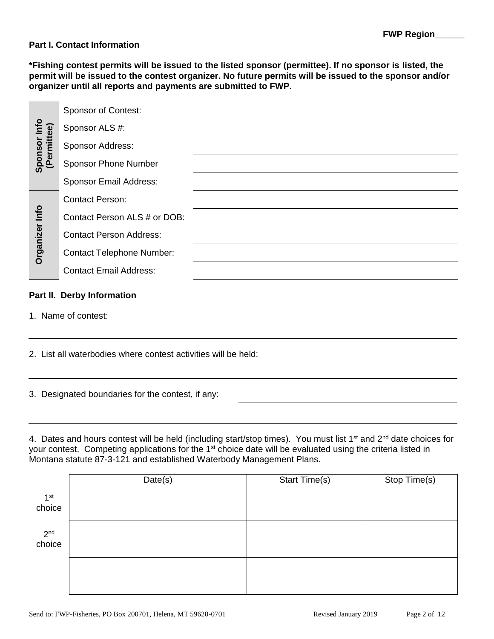# **Part I. Contact Information**

**\*Fishing contest permits will be issued to the listed sponsor (permittee). If no sponsor is listed, the permit will be issued to the contest organizer. No future permits will be issued to the sponsor and/or organizer until all reports and payments are submitted to FWP.** 

|                             | <b>Sponsor of Contest:</b>       |  |
|-----------------------------|----------------------------------|--|
| Sponsor Info<br>(Permittee) | Sponsor ALS #:                   |  |
|                             | Sponsor Address:                 |  |
|                             | <b>Sponsor Phone Number</b>      |  |
|                             | <b>Sponsor Email Address:</b>    |  |
|                             | <b>Contact Person:</b>           |  |
|                             | Contact Person ALS # or DOB:     |  |
| Organizer Info              | <b>Contact Person Address:</b>   |  |
|                             | <b>Contact Telephone Number:</b> |  |
|                             | <b>Contact Email Address:</b>    |  |
|                             |                                  |  |

# **Part II. Derby Information**

1. Name of contest:

2. List all waterbodies where contest activities will be held:

3. Designated boundaries for the contest, if any:

4. Dates and hours contest will be held (including start/stop times). You must list 1<sup>st</sup> and 2<sup>nd</sup> date choices for your contest. Competing applications for the 1<sup>st</sup> choice date will be evaluated using the criteria listed in Montana statute 87-3-121 and established Waterbody Management Plans.

|                           | Date(s) | <b>Start Time(s)</b> | Stop Time(s) |
|---------------------------|---------|----------------------|--------------|
| 1 <sup>st</sup><br>choice |         |                      |              |
| $2nd$ choice              |         |                      |              |
|                           |         |                      |              |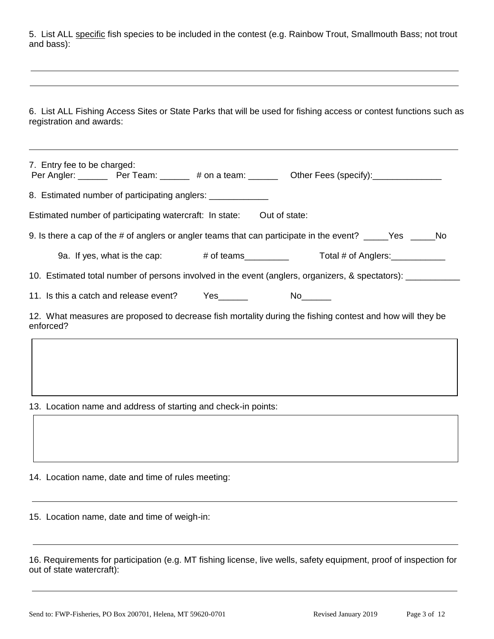|            |  | 5. List ALL specific fish species to be included in the contest (e.g. Rainbow Trout, Smallmouth Bass; not trout |  |  |  |  |
|------------|--|-----------------------------------------------------------------------------------------------------------------|--|--|--|--|
| and bass): |  |                                                                                                                 |  |  |  |  |

6. List ALL Fishing Access Sites or State Parks that will be used for fishing access or contest functions such as registration and awards:

| 7. Entry fee to be charged:<br>Per Angler: _________ Per Team: _______ # on a team: ________ Other Fees (specify): _______________ |                                                                                                                                                                                                                                |
|------------------------------------------------------------------------------------------------------------------------------------|--------------------------------------------------------------------------------------------------------------------------------------------------------------------------------------------------------------------------------|
| 8. Estimated number of participating anglers: ____________                                                                         |                                                                                                                                                                                                                                |
| Estimated number of participating watercraft: In state: Out of state:                                                              |                                                                                                                                                                                                                                |
| 9. Is there a cap of the # of anglers or angler teams that can participate in the event? _____Yes _____No                          |                                                                                                                                                                                                                                |
| 9a. If yes, what is the cap: # of teams__________ Total # of Anglers:___________                                                   |                                                                                                                                                                                                                                |
| 10. Estimated total number of persons involved in the event (anglers, organizers, & spectators): _________                         |                                                                                                                                                                                                                                |
| 11. Is this a catch and release event? Yes                                                                                         | No control of the North State of the North State of the North State of the North State of the North State of the North State of the North State of the North State of the North State of the North State of the North State of |
| 12. What measures are proposed to decrease fish mortality during the fishing contest and how will they be<br>enforced?             |                                                                                                                                                                                                                                |
|                                                                                                                                    |                                                                                                                                                                                                                                |
|                                                                                                                                    |                                                                                                                                                                                                                                |

13. Location name and address of starting and check-in points:

14. Location name, date and time of rules meeting:

15. Location name, date and time of weigh-in:

| 16. Requirements for participation (e.g. MT fishing license, live wells, safety equipment, proof of inspection for |  |  |  |  |
|--------------------------------------------------------------------------------------------------------------------|--|--|--|--|
| out of state watercraft):                                                                                          |  |  |  |  |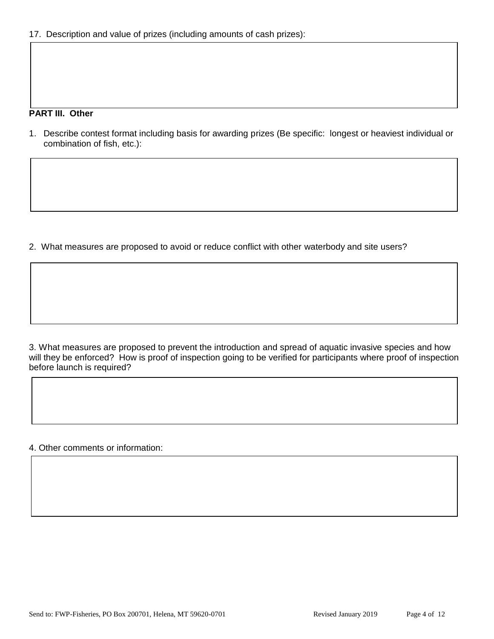# **PART III. Other**

1. Describe contest format including basis for awarding prizes (Be specific: longest or heaviest individual or combination of fish, etc.):

2. What measures are proposed to avoid or reduce conflict with other waterbody and site users?

3. What measures are proposed to prevent the introduction and spread of aquatic invasive species and how will they be enforced? How is proof of inspection going to be verified for participants where proof of inspection before launch is required?

4. Other comments or information: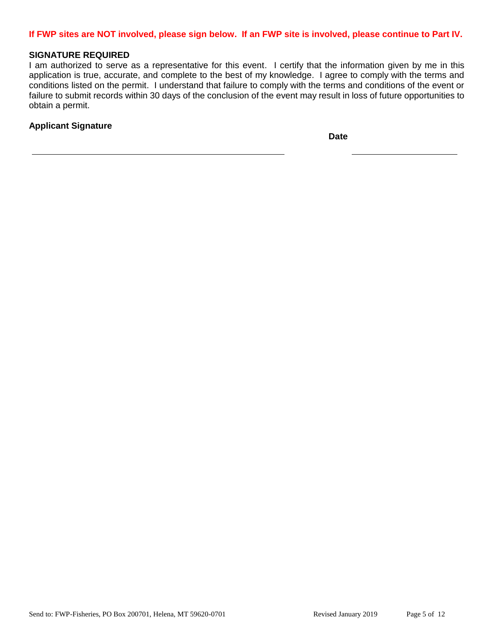#### **If FWP sites are NOT involved, please sign below. If an FWP site is involved, please continue to Part IV.**

# **SIGNATURE REQUIRED**

I am authorized to serve as a representative for this event. I certify that the information given by me in this application is true, accurate, and complete to the best of my knowledge. I agree to comply with the terms and conditions listed on the permit. I understand that failure to comply with the terms and conditions of the event or failure to submit records within 30 days of the conclusion of the event may result in loss of future opportunities to obtain a permit.

#### **Applicant Signature**

**Date**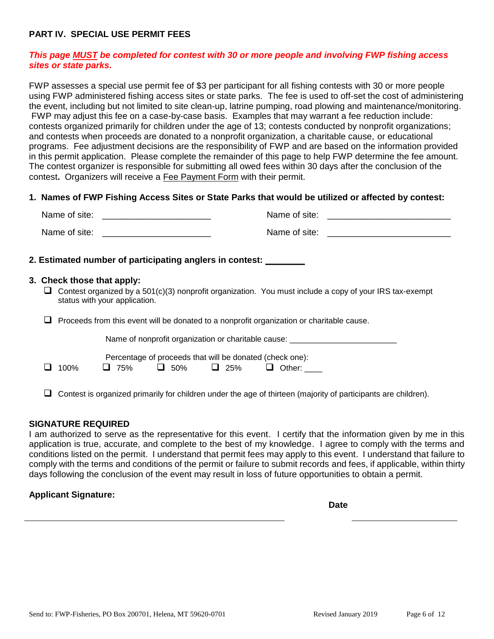# **PART IV. SPECIAL USE PERMIT FEES**

# *This page MUST be completed for contest with 30 or more people and involving FWP fishing access sites or state parks.*

FWP assesses a special use permit fee of \$3 per participant for all fishing contests with 30 or more people using FWP administered fishing access sites or state parks. The fee is used to off-set the cost of administering the event, including but not limited to site clean-up, latrine pumping, road plowing and maintenance/monitoring. FWP may adjust this fee on a case-by-case basis. Examples that may warrant a fee reduction include: contests organized primarily for children under the age of 13; contests conducted by nonprofit organizations; and contests when proceeds are donated to a nonprofit organization, a charitable cause, or educational programs. Fee adjustment decisions are the responsibility of FWP and are based on the information provided in this permit application. Please complete the remainder of this page to help FWP determine the fee amount. The contest organizer is responsible for submitting all owed fees within 30 days after the conclusion of the contest**.** Organizers will receive a Fee Payment Form with their permit.

#### **1. Names of FWP Fishing Access Sites or State Parks that would be utilized or affected by contest:**

|  | Name of site:<br>Name of site:                                                                                                                                         |
|--|------------------------------------------------------------------------------------------------------------------------------------------------------------------------|
|  | Name of site: <u>_________________</u>                                                                                                                                 |
|  | 2. Estimated number of participating anglers in contest: ________                                                                                                      |
|  | 3. Check those that apply:<br>Contest organized by a 501(c)(3) nonprofit organization. You must include a copy of your IRS tax-exempt<br>status with your application. |
|  | Proceeds from this event will be donated to a nonprofit organization or charitable cause.                                                                              |
|  | Name of nonprofit organization or charitable cause: ____________________________                                                                                       |
|  | Percentage of proceeds that will be donated (check one):<br>$\Box$ 75% $\Box$ 50% $\Box$ 25%<br>$\Box$ Other:<br>100%                                                  |

 $\Box$  Contest is organized primarily for children under the age of thirteen (majority of participants are children).

#### **SIGNATURE REQUIRED**

I am authorized to serve as the representative for this event. I certify that the information given by me in this application is true, accurate, and complete to the best of my knowledge. I agree to comply with the terms and conditions listed on the permit. I understand that permit fees may apply to this event. I understand that failure to comply with the terms and conditions of the permit or failure to submit records and fees, if applicable, within thirty days following the conclusion of the event may result in loss of future opportunities to obtain a permit.

#### **Applicant Signature:**

**Date**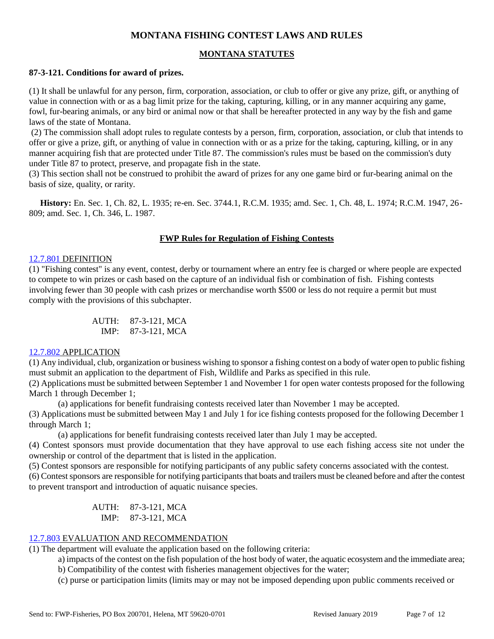# **MONTANA FISHING CONTEST LAWS AND RULES**

# **MONTANA STATUTES**

#### **87-3-121. Conditions for award of prizes.**

(1) It shall be unlawful for any person, firm, corporation, association, or club to offer or give any prize, gift, or anything of value in connection with or as a bag limit prize for the taking, capturing, killing, or in any manner acquiring any game, fowl, fur-bearing animals, or any bird or animal now or that shall be hereafter protected in any way by the fish and game laws of the state of Montana.

(2) The commission shall adopt rules to regulate contests by a person, firm, corporation, association, or club that intends to offer or give a prize, gift, or anything of value in connection with or as a prize for the taking, capturing, killing, or in any manner acquiring fish that are protected under Title 87. The commission's rules must be based on the commission's duty under Title 87 to protect, preserve, and propagate fish in the state.

(3) This section shall not be construed to prohibit the award of prizes for any one game bird or fur-bearing animal on the basis of size, quality, or rarity.

 **History:** En. Sec. 1, Ch. 82, L. 1935; re-en. Sec. 3744.1, R.C.M. 1935; amd. Sec. 1, Ch. 48, L. 1974; R.C.M. 1947, 26- 809; amd. Sec. 1, Ch. 346, L. 1987.

# **FWP Rules for Regulation of Fishing Contests**

#### [12.7.801](http://arm.sos.state.mt.us/12/12-429.htm) DEFINITION

(1) "Fishing contest" is any event, contest, derby or tournament where an entry fee is charged or where people are expected to compete to win prizes or cash based on the capture of an individual fish or combination of fish. Fishing contests involving fewer than 30 people with cash prizes or merchandise worth \$500 or less do not require a permit but must comply with the provisions of this subchapter.

> AUTH: 87-3-121, MCA IMP: 87-3-121, MCA

#### [12.7.802](http://arm.sos.state.mt.us/12/12-429.htm) APPLICATION

(1) Any individual, club, organization or business wishing to sponsor a fishing contest on a body of water open to public fishing must submit an application to the department of Fish, Wildlife and Parks as specified in this rule.

(2) Applications must be submitted between September 1 and November 1 for open water contests proposed for the following March 1 through December 1;

(a) applications for benefit fundraising contests received later than November 1 may be accepted.

(3) Applications must be submitted between May 1 and July 1 for ice fishing contests proposed for the following December 1 through March 1;

(a) applications for benefit fundraising contests received later than July 1 may be accepted.

(4) Contest sponsors must provide documentation that they have approval to use each fishing access site not under the ownership or control of the department that is listed in the application.

(5) Contest sponsors are responsible for notifying participants of any public safety concerns associated with the contest.

(6) Contest sponsors are responsible for notifying participants that boats and trailers must be cleaned before and after the contest to prevent transport and introduction of aquatic nuisance species.

> AUTH: 87-3-121, MCA IMP: 87-3-121, MCA

#### [12.7.803](http://arm.sos.state.mt.us/12/12-429.htm) EVALUATION AND RECOMMENDATION

(1) The department will evaluate the application based on the following criteria:

a) impacts of the contest on the fish population of the host body of water, the aquatic ecosystem and the immediate area;

b) Compatibility of the contest with fisheries management objectives for the water;

(c) purse or participation limits (limits may or may not be imposed depending upon public comments received or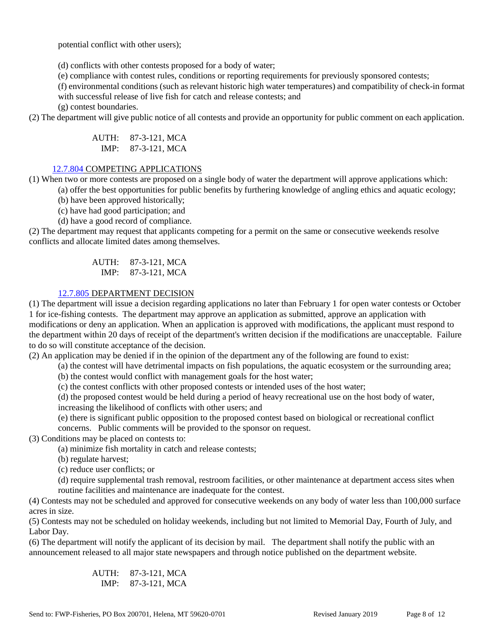potential conflict with other users);

(d) conflicts with other contests proposed for a body of water;

(e) compliance with contest rules, conditions or reporting requirements for previously sponsored contests;

(f) environmental conditions (such as relevant historic high water temperatures) and compatibility of check-in format with successful release of live fish for catch and release contests; and

(g) contest boundaries.

(2) The department will give public notice of all contests and provide an opportunity for public comment on each application.

AUTH: 87-3-121, MCA IMP: 87-3-121, MCA

#### [12.7.804](http://arm.sos.state.mt.us/12/12-430.htm) COMPETING APPLICATIONS

(1) When two or more contests are proposed on a single body of water the department will approve applications which:

(a) offer the best opportunities for public benefits by furthering knowledge of angling ethics and aquatic ecology;

(b) have been approved historically;

(c) have had good participation; and

(d) have a good record of compliance.

(2) The department may request that applicants competing for a permit on the same or consecutive weekends resolve conflicts and allocate limited dates among themselves.

> AUTH: 87-3-121, MCA IMP: 87-3-121, MCA

#### [12.7.805](http://arm.sos.state.mt.us/12/12-430.htm) DEPARTMENT DECISION

(1) The department will issue a decision regarding applications no later than February 1 for open water contests or October 1 for ice-fishing contests. The department may approve an application as submitted, approve an application with modifications or deny an application. When an application is approved with modifications, the applicant must respond to the department within 20 days of receipt of the department's written decision if the modifications are unacceptable. Failure to do so will constitute acceptance of the decision.

(2) An application may be denied if in the opinion of the department any of the following are found to exist:

(a) the contest will have detrimental impacts on fish populations, the aquatic ecosystem or the surrounding area;

(b) the contest would conflict with management goals for the host water;

(c) the contest conflicts with other proposed contests or intended uses of the host water;

(d) the proposed contest would be held during a period of heavy recreational use on the host body of water, increasing the likelihood of conflicts with other users; and

(e) there is significant public opposition to the proposed contest based on biological or recreational conflict

concerns. Public comments will be provided to the sponsor on request.

(3) Conditions may be placed on contests to:

(a) minimize fish mortality in catch and release contests;

(b) regulate harvest;

(c) reduce user conflicts; or

(d) require supplemental trash removal, restroom facilities, or other maintenance at department access sites when routine facilities and maintenance are inadequate for the contest.

(4) Contests may not be scheduled and approved for consecutive weekends on any body of water less than 100,000 surface acres in size.

(5) Contests may not be scheduled on holiday weekends, including but not limited to Memorial Day, Fourth of July, and Labor Day.

(6) The department will notify the applicant of its decision by mail. The department shall notify the public with an announcement released to all major state newspapers and through notice published on the department website.

> AUTH: 87-3-121, MCA IMP: 87-3-121, MCA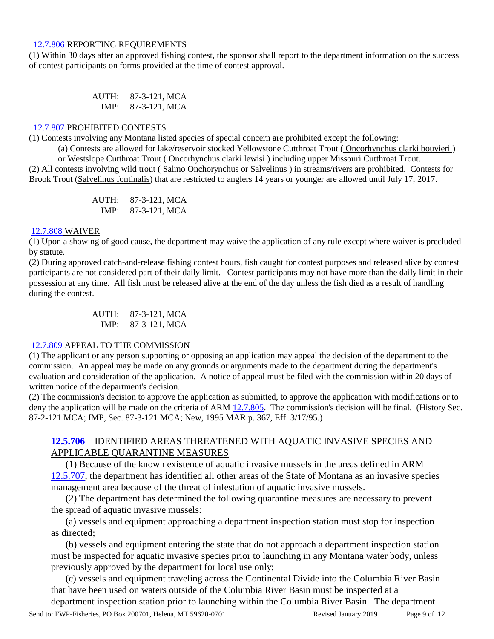#### [12.7.806](http://arm.sos.state.mt.us/12/12-431.htm) REPORTING REQUIREMENTS

(1) Within 30 days after an approved fishing contest, the sponsor shall report to the department information on the success of contest participants on forms provided at the time of contest approval.

> AUTH: 87-3-121, MCA IMP: 87-3-121, MCA

#### [12.7.807](http://arm.sos.state.mt.us/12/12-431.htm) PROHIBITED CONTESTS

(1) Contests involving any Montana listed species of special concern are prohibited except the following:

(a) Contests are allowed for lake/reservoir stocked Yellowstone Cutthroat Trout ( Oncorhynchus clarki bouvieri ) or Westslope Cutthroat Trout ( Oncorhynchus clarki lewisi ) including upper Missouri Cutthroat Trout.

(2) All contests involving wild trout ( Salmo Onchorynchus or Salvelinus ) in streams/rivers are prohibited. Contests for Brook Trout (Salvelinus fontinalis) that are restricted to anglers 14 years or younger are allowed until July 17, 2017.

> AUTH: 87-3-121, MCA IMP: 87-3-121, MCA

#### [12.7.808](http://arm.sos.state.mt.us/12/12-432.htm) WAIVER

(1) Upon a showing of good cause, the department may waive the application of any rule except where waiver is precluded by statute.

(2) During approved catch-and-release fishing contest hours, fish caught for contest purposes and released alive by contest participants are not considered part of their daily limit. Contest participants may not have more than the daily limit in their possession at any time. All fish must be released alive at the end of the day unless the fish died as a result of handling during the contest.

> AUTH: 87-3-121, MCA IMP: 87-3-121, MCA

#### [12.7.809](http://arm.sos.state.mt.us/12/12-432.htm) APPEAL TO THE COMMISSION

(1) The applicant or any person supporting or opposing an application may appeal the decision of the department to the commission. An appeal may be made on any grounds or arguments made to the department during the department's evaluation and consideration of the application. A notice of appeal must be filed with the commission within 20 days of written notice of the department's decision.

(2) The commission's decision to approve the application as submitted, to approve the application with modifications or to deny the application will be made on the criteria of ARM [12.7.805.](http://arm.sos.state.mt.us/12/12-430.htm) The commission's decision will be final. (History Sec. 87-2-121 MCA; IMP, Sec. 87-3-121 MCA; New, 1995 MAR p. 367, Eff. 3/17/95.)

# **[12.5.706](http://www.mtrules.org/gateway/ruleno.asp?RN=12%2E5%2E706)** IDENTIFIED AREAS THREATENED WITH AQUATIC INVASIVE SPECIES AND APPLICABLE QUARANTINE MEASURES

(1) Because of the known existence of aquatic invasive mussels in the areas defined in ARM [12.5.707,](http://www.mtrules.org/gateway/ruleno.asp?RN=12.5.707) the department has identified all other areas of the State of Montana as an invasive species management area because of the threat of infestation of aquatic invasive mussels.

(2) The department has determined the following quarantine measures are necessary to prevent the spread of aquatic invasive mussels:

(a) vessels and equipment approaching a department inspection station must stop for inspection as directed;

(b) vessels and equipment entering the state that do not approach a department inspection station must be inspected for aquatic invasive species prior to launching in any Montana water body, unless previously approved by the department for local use only;

(c) vessels and equipment traveling across the Continental Divide into the Columbia River Basin that have been used on waters outside of the Columbia River Basin must be inspected at a

department inspection station prior to launching within the Columbia River Basin. The department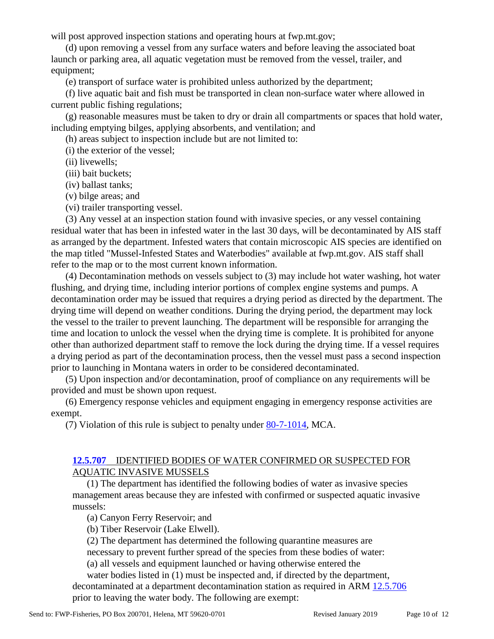will post approved inspection stations and operating hours at fwp.mt.gov;

(d) upon removing a vessel from any surface waters and before leaving the associated boat launch or parking area, all aquatic vegetation must be removed from the vessel, trailer, and equipment;

(e) transport of surface water is prohibited unless authorized by the department;

(f) live aquatic bait and fish must be transported in clean non-surface water where allowed in current public fishing regulations;

(g) reasonable measures must be taken to dry or drain all compartments or spaces that hold water, including emptying bilges, applying absorbents, and ventilation; and

(h) areas subject to inspection include but are not limited to:

(i) the exterior of the vessel;

(ii) livewells;

(iii) bait buckets;

(iv) ballast tanks;

(v) bilge areas; and

(vi) trailer transporting vessel.

(3) Any vessel at an inspection station found with invasive species, or any vessel containing residual water that has been in infested water in the last 30 days, will be decontaminated by AIS staff as arranged by the department. Infested waters that contain microscopic AIS species are identified on the map titled "Mussel-Infested States and Waterbodies" available at fwp.mt.gov. AIS staff shall refer to the map or to the most current known information.

(4) Decontamination methods on vessels subject to (3) may include hot water washing, hot water flushing, and drying time, including interior portions of complex engine systems and pumps. A decontamination order may be issued that requires a drying period as directed by the department. The drying time will depend on weather conditions. During the drying period, the department may lock the vessel to the trailer to prevent launching. The department will be responsible for arranging the time and location to unlock the vessel when the drying time is complete. It is prohibited for anyone other than authorized department staff to remove the lock during the drying time. If a vessel requires a drying period as part of the decontamination process, then the vessel must pass a second inspection prior to launching in Montana waters in order to be considered decontaminated.

(5) Upon inspection and/or decontamination, proof of compliance on any requirements will be provided and must be shown upon request.

(6) Emergency response vehicles and equipment engaging in emergency response activities are exempt.

(7) Violation of this rule is subject to penalty under [80-7-1014,](http://leg.mt.gov/bills/mca/title_0800/chapter_0070/part_0100/section_0140/0800-0070-0100-0140.html) MCA.

# **[12.5.707](http://www.mtrules.org/gateway/ruleno.asp?RN=12%2E5%2E707)** IDENTIFIED BODIES OF WATER CONFIRMED OR SUSPECTED FOR AQUATIC INVASIVE MUSSELS

(1) The department has identified the following bodies of water as invasive species management areas because they are infested with confirmed or suspected aquatic invasive mussels:

(a) Canyon Ferry Reservoir; and

(b) Tiber Reservoir (Lake Elwell).

(2) The department has determined the following quarantine measures are

necessary to prevent further spread of the species from these bodies of water:

(a) all vessels and equipment launched or having otherwise entered the

water bodies listed in (1) must be inspected and, if directed by the department, decontaminated at a department decontamination station as required in ARM [12.5.706](http://www.mtrules.org/gateway/ruleno.asp?RN=12.5.706) prior to leaving the water body. The following are exempt: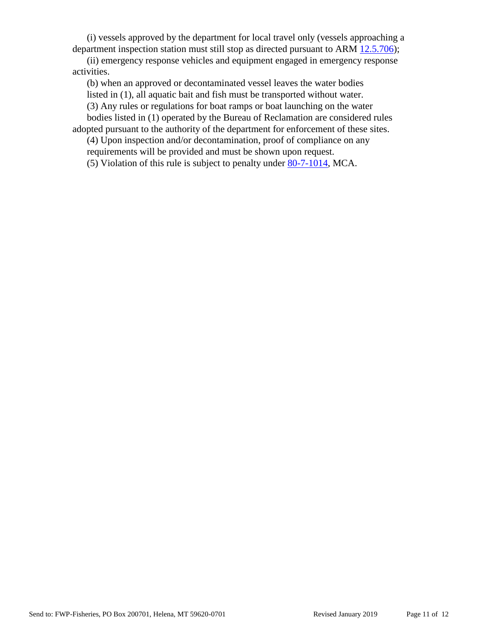(i) vessels approved by the department for local travel only (vessels approaching a department inspection station must still stop as directed pursuant to ARM [12.5.706\)](http://www.mtrules.org/gateway/ruleno.asp?RN=12.5.706);

(ii) emergency response vehicles and equipment engaged in emergency response activities.

(b) when an approved or decontaminated vessel leaves the water bodies

listed in (1), all aquatic bait and fish must be transported without water.

(3) Any rules or regulations for boat ramps or boat launching on the water

bodies listed in (1) operated by the Bureau of Reclamation are considered rules adopted pursuant to the authority of the department for enforcement of these sites.

(4) Upon inspection and/or decontamination, proof of compliance on any requirements will be provided and must be shown upon request.

(5) Violation of this rule is subject to penalty under [80-7-1014,](http://leg.mt.gov/bills/mca/title_0800/chapter_0070/part_0100/section_0140/0800-0070-0100-0140.html) MCA.